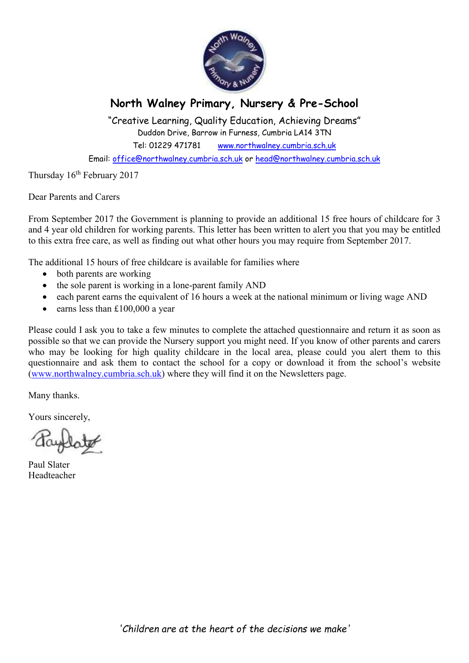

## **North Walney Primary, Nursery & Pre-School**

"Creative Learning, Quality Education, Achieving Dreams" Duddon Drive, Barrow in Furness, Cumbria LA14 3TN

Tel: 01229 471781 www.northwalney.cumbria.sch.uk

Email: office@northwalney.cumbria.sch.uk or head@northwalney.cumbria.sch.uk

Thursday 16<sup>th</sup> February 2017

Dear Parents and Carers

From September 2017 the Government is planning to provide an additional 15 free hours of childcare for 3 and 4 year old children for working parents. This letter has been written to alert you that you may be entitled to this extra free care, as well as finding out what other hours you may require from September 2017.

The additional 15 hours of free childcare is available for families where

- both parents are working
- the sole parent is working in a lone-parent family AND
- each parent earns the equivalent of 16 hours a week at the national minimum or living wage AND
- earns less than £100,000 a year

Please could I ask you to take a few minutes to complete the attached questionnaire and return it as soon as possible so that we can provide the Nursery support you might need. If you know of other parents and carers who may be looking for high quality childcare in the local area, please could you alert them to this questionnaire and ask them to contact the school for a copy or download it from the school's website (www.northwalney.cumbria.sch.uk) where they will find it on the Newsletters page.

Many thanks.

Yours sincerely,

Paul Slater Headteacher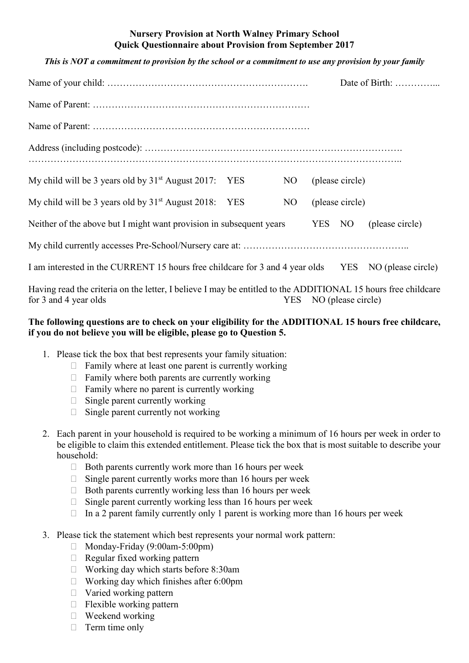## **Nursery Provision at North Walney Primary School Quick Questionnaire about Provision from September 2017**

## *This is NOT a commitment to provision by the school or a commitment to use any provision by your family*

|                                                                                                               |  |    |        |                 | Date of Birth:  |  |
|---------------------------------------------------------------------------------------------------------------|--|----|--------|-----------------|-----------------|--|
|                                                                                                               |  |    |        |                 |                 |  |
|                                                                                                               |  |    |        |                 |                 |  |
|                                                                                                               |  |    |        |                 |                 |  |
|                                                                                                               |  |    |        |                 |                 |  |
| My child will be 3 years old by $31st$ August 2017: YES                                                       |  | NO |        | (please circle) |                 |  |
| My child will be 3 years old by $31st$ August 2018: YES                                                       |  | NO |        | (please circle) |                 |  |
| Neither of the above but I might want provision in subsequent years                                           |  |    | YES NO |                 | (please circle) |  |
|                                                                                                               |  |    |        |                 |                 |  |
| I am interested in the CURRENT 15 hours free childcare for 3 and 4 year olds YES NO (please circle)           |  |    |        |                 |                 |  |
| Having read the criteria on the letter, I believe I may be entitled to the ADDITIONAL 15 hours free childcare |  |    |        |                 |                 |  |

## **The following questions are to check on your eligibility for the ADDITIONAL 15 hours free childcare,**

for 3 and 4 year olds YES NO (please circle)

- **if you do not believe you will be eligible, please go to Question 5.** 
	- 1. Please tick the box that best represents your family situation: Family where at least one parent is currently working Family where both parents are currently working Family where no parent is currently working Single parent currently working Single parent currently not working
	- 2. Each parent in your household is required to be working a minimum of 16 hours per week in order to be eligible to claim this extended entitlement. Please tick the box that is most suitable to describe your household:

 Both parents currently work more than 16 hours per week Single parent currently works more than 16 hours per week Both parents currently working less than 16 hours per week Single parent currently working less than 16 hours per week In a 2 parent family currently only 1 parent is working more than 16 hours per week

3. Please tick the statement which best represents your normal work pattern:

 Monday-Friday (9:00am-5:00pm) Regular fixed working pattern Working day which starts before 8:30am Working day which finishes after 6:00pm Varied working pattern Flexible working pattern Weekend working Term time only